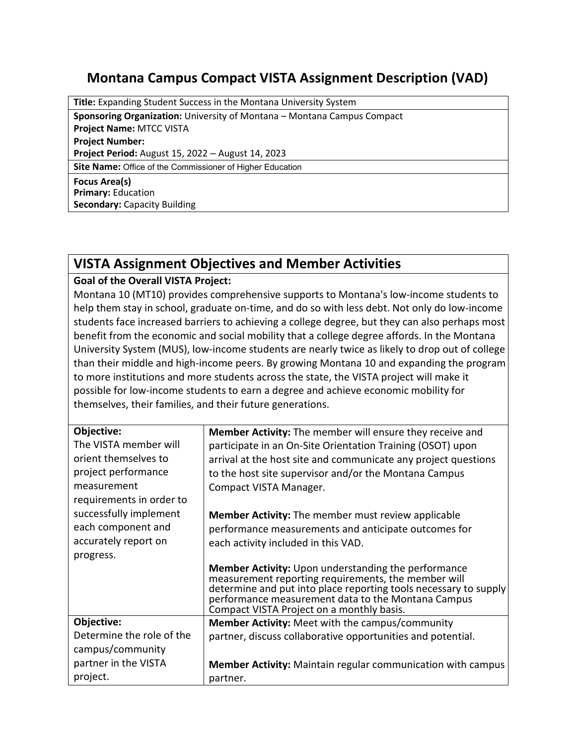## **Montana Campus Compact VISTA Assignment Description (VAD)**

**Title:** Expanding Student Success in the Montana University System

**Sponsoring Organization:** University of Montana – Montana Campus Compact

**Project Name:** MTCC VISTA

**Project Number:**

**Project Period:** August 15, 2022 – August 14, 2023

**Site Name:** Office of the Commissioner of Higher Education

**Focus Area(s) Primary:** Education **Secondary:** Capacity Building

## **VISTA Assignment Objectives and Member Activities**

## **Goal of the Overall VISTA Project:**

Montana 10 (MT10) provides comprehensive supports to Montana's low-income students to help them stay in school, graduate on-time, and do so with less debt. Not only do low-income students face increased barriers to achieving a college degree, but they can also perhaps most benefit from the economic and social mobility that a college degree affords. In the Montana University System (MUS), low-income students are nearly twice as likely to drop out of college than their middle and high-income peers. By growing Montana 10 and expanding the program to more institutions and more students across the state, the VISTA project will make it possible for low-income students to earn a degree and achieve economic mobility for themselves, their families, and their future generations.

| Objective:                | <b>Member Activity:</b> The member will ensure they receive and                                                   |
|---------------------------|-------------------------------------------------------------------------------------------------------------------|
| The VISTA member will     | participate in an On-Site Orientation Training (OSOT) upon                                                        |
| orient themselves to      | arrival at the host site and communicate any project questions                                                    |
| project performance       | to the host site supervisor and/or the Montana Campus                                                             |
| measurement               | Compact VISTA Manager.                                                                                            |
| requirements in order to  |                                                                                                                   |
| successfully implement    | <b>Member Activity:</b> The member must review applicable                                                         |
| each component and        | performance measurements and anticipate outcomes for                                                              |
| accurately report on      | each activity included in this VAD.                                                                               |
| progress.                 |                                                                                                                   |
|                           | <b>Member Activity:</b> Upon understanding the performance<br>measurement reporting requirements, the member will |
|                           | determine and put into place reporting tools necessary to supply                                                  |
|                           | performance measurement data to the Montana Campus                                                                |
|                           | Compact VISTA Project on a monthly basis.                                                                         |
| Objective:                | <b>Member Activity:</b> Meet with the campus/community                                                            |
| Determine the role of the | partner, discuss collaborative opportunities and potential.                                                       |
| campus/community          |                                                                                                                   |
| partner in the VISTA      | <b>Member Activity:</b> Maintain regular communication with campus                                                |
| project.                  | partner.                                                                                                          |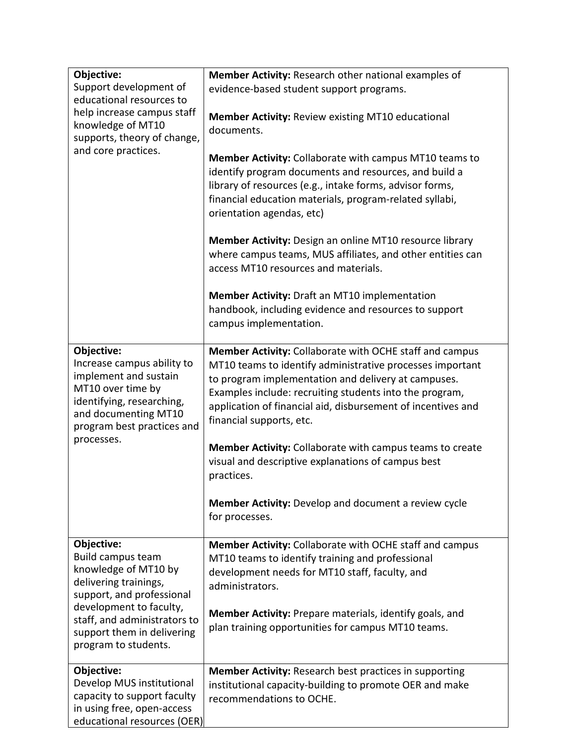| Objective:                                         | Member Activity: Research other national examples of                                                                 |
|----------------------------------------------------|----------------------------------------------------------------------------------------------------------------------|
| Support development of                             | evidence-based student support programs.                                                                             |
| educational resources to                           |                                                                                                                      |
| help increase campus staff<br>knowledge of MT10    | <b>Member Activity: Review existing MT10 educational</b>                                                             |
| supports, theory of change,                        | documents.                                                                                                           |
| and core practices.                                |                                                                                                                      |
|                                                    | <b>Member Activity:</b> Collaborate with campus MT10 teams to                                                        |
|                                                    | identify program documents and resources, and build a                                                                |
|                                                    | library of resources (e.g., intake forms, advisor forms,                                                             |
|                                                    | financial education materials, program-related syllabi,                                                              |
|                                                    | orientation agendas, etc)                                                                                            |
|                                                    | <b>Member Activity:</b> Design an online MT10 resource library                                                       |
|                                                    | where campus teams, MUS affiliates, and other entities can                                                           |
|                                                    | access MT10 resources and materials.                                                                                 |
|                                                    |                                                                                                                      |
|                                                    | Member Activity: Draft an MT10 implementation                                                                        |
|                                                    | handbook, including evidence and resources to support                                                                |
|                                                    | campus implementation.                                                                                               |
| Objective:                                         |                                                                                                                      |
| Increase campus ability to                         | Member Activity: Collaborate with OCHE staff and campus<br>MT10 teams to identify administrative processes important |
| implement and sustain                              | to program implementation and delivery at campuses.                                                                  |
| MT10 over time by                                  | Examples include: recruiting students into the program,                                                              |
| identifying, researching,                          | application of financial aid, disbursement of incentives and                                                         |
| and documenting MT10                               | financial supports, etc.                                                                                             |
| program best practices and<br>processes.           |                                                                                                                      |
|                                                    | <b>Member Activity:</b> Collaborate with campus teams to create                                                      |
|                                                    | visual and descriptive explanations of campus best                                                                   |
|                                                    | practices.                                                                                                           |
|                                                    |                                                                                                                      |
|                                                    | <b>Member Activity:</b> Develop and document a review cycle<br>for processes.                                        |
|                                                    |                                                                                                                      |
| Objective:                                         | Member Activity: Collaborate with OCHE staff and campus                                                              |
| Build campus team                                  | MT10 teams to identify training and professional                                                                     |
| knowledge of MT10 by                               | development needs for MT10 staff, faculty, and                                                                       |
| delivering trainings,<br>support, and professional | administrators.                                                                                                      |
| development to faculty,                            |                                                                                                                      |
| staff, and administrators to                       | <b>Member Activity:</b> Prepare materials, identify goals, and                                                       |
| support them in delivering                         | plan training opportunities for campus MT10 teams.                                                                   |
| program to students.                               |                                                                                                                      |
| Objective:                                         | <b>Member Activity: Research best practices in supporting</b>                                                        |
| Develop MUS institutional                          | institutional capacity-building to promote OER and make                                                              |
| capacity to support faculty                        | recommendations to OCHE.                                                                                             |
| in using free, open-access                         |                                                                                                                      |
| educational resources (OER)                        |                                                                                                                      |